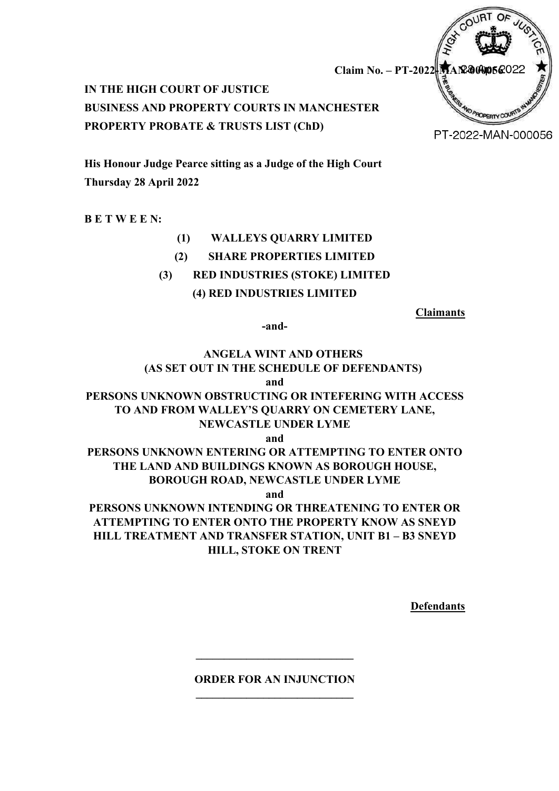

**IN THE HIGH COURT OF JUSTICE BUSINESS AND PROPERTY COURTS IN MANCHESTER PROPERTY PROBATE & TRUSTS LIST (ChD)**

**His Honour Judge Pearce sitting as a Judge of the High Court Thursday 28 April 2022**

**B E T W E E N:**

# **(1) WALLEYS QUARRY LIMITED**

**(2) SHARE PROPERTIES LIMITED**

# **(3) RED INDUSTRIES (STOKE) LIMITED**

**(4) RED INDUSTRIES LIMITED**

**Claimants**

**-and-**

# **ANGELA WINT AND OTHERS (AS SET OUT IN THE SCHEDULE OF DEFENDANTS) and PERSONS UNKNOWN OBSTRUCTING OR INTEFERING WITH ACCESS**

# **TO AND FROM WALLEY'S QUARRY ON CEMETERY LANE, NEWCASTLE UNDER LYME**

**and**

# **PERSONS UNKNOWN ENTERING OR ATTEMPTING TO ENTER ONTO THE LAND AND BUILDINGS KNOWN AS BOROUGH HOUSE, BOROUGH ROAD, NEWCASTLE UNDER LYME**

**and**

**PERSONS UNKNOWN INTENDING OR THREATENING TO ENTER OR ATTEMPTING TO ENTER ONTO THE PROPERTY KNOW AS SNEYD HILL TREATMENT AND TRANSFER STATION, UNIT B1 – B3 SNEYD HILL, STOKE ON TRENT**

**Defendants**

# **ORDER FOR AN INJUNCTION \_\_\_\_\_\_\_\_\_\_\_\_\_\_\_\_\_\_\_\_\_\_\_\_\_\_\_\_**

**\_\_\_\_\_\_\_\_\_\_\_\_\_\_\_\_\_\_\_\_\_\_\_\_\_\_\_\_**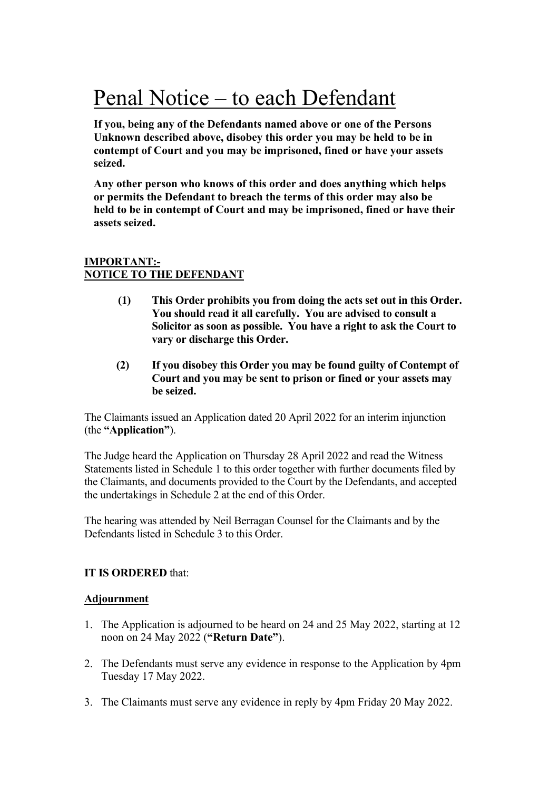# Penal Notice – to each Defendant

**If you, being any of the Defendants named above or one of the Persons Unknown described above, disobey this order you may be held to be in contempt of Court and you may be imprisoned, fined or have your assets seized.**

**Any other person who knows of this order and does anything which helps or permits the Defendant to breach the terms of this order may also be held to be in contempt of Court and may be imprisoned, fined or have their assets seized.**

# **IMPORTANT:- NOTICE TO THE DEFENDANT**

- **(1) This Order prohibits you from doing the acts set out in this Order. You should read it all carefully. You are advised to consult a Solicitor as soon as possible. You have a right to ask the Court to vary or discharge this Order.**
- **(2) If you disobey this Order you may be found guilty of Contempt of Court and you may be sent to prison or fined or your assets may be seized.**

The Claimants issued an Application dated 20 April 2022 for an interim injunction (the **"Application"**).

The Judge heard the Application on Thursday 28 April 2022 and read the Witness Statements listed in Schedule 1 to this order together with further documents filed by the Claimants, and documents provided to the Court by the Defendants, and accepted the undertakings in Schedule 2 at the end of this Order.

The hearing was attended by Neil Berragan Counsel for the Claimants and by the Defendants listed in Schedule 3 to this Order.

# **IT IS ORDERED** that:

# **Adjournment**

- 1. The Application is adjourned to be heard on 24 and 25 May 2022, starting at 12 noon on 24 May 2022 (**"Return Date"**).
- 2. The Defendants must serve any evidence in response to the Application by 4pm Tuesday 17 May 2022.
- 3. The Claimants must serve any evidence in reply by 4pm Friday 20 May 2022.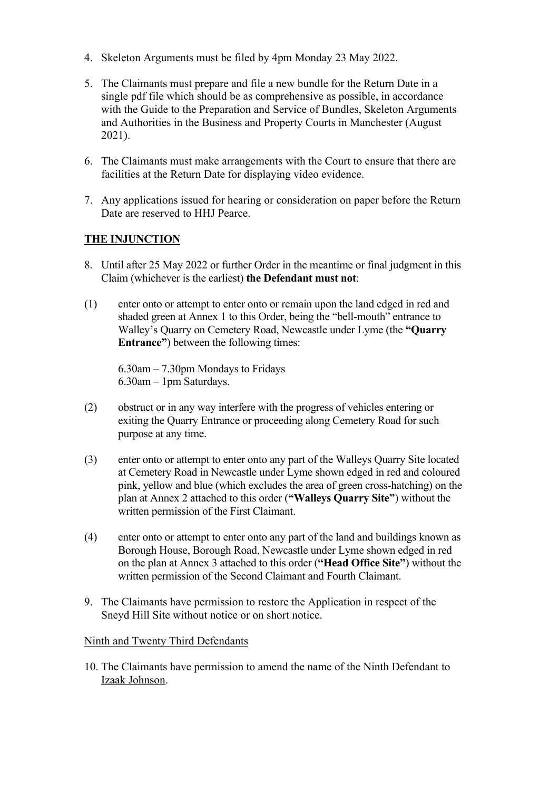- 4. Skeleton Arguments must be filed by 4pm Monday 23 May 2022.
- 5. The Claimants must prepare and file a new bundle for the Return Date in a single pdf file which should be as comprehensive as possible, in accordance with the Guide to the Preparation and Service of Bundles, Skeleton Arguments and Authorities in the Business and Property Courts in Manchester (August 2021).
- 6. The Claimants must make arrangements with the Court to ensure that there are facilities at the Return Date for displaying video evidence.
- 7. Any applications issued for hearing or consideration on paper before the Return Date are reserved to HHJ Pearce.

# **THE INJUNCTION**

- 8. Until after 25 May 2022 or further Order in the meantime or final judgment in this Claim (whichever is the earliest) **the Defendant must not**:
- (1) enter onto or attempt to enter onto or remain upon the land edged in red and shaded green at Annex 1 to this Order, being the "bell-mouth" entrance to Walley's Quarry on Cemetery Road, Newcastle under Lyme (the **"Quarry Entrance"**) between the following times:

6.30am – 7.30pm Mondays to Fridays 6.30am – 1pm Saturdays.

- (2) obstruct or in any way interfere with the progress of vehicles entering or exiting the Quarry Entrance or proceeding along Cemetery Road for such purpose at any time.
- (3) enter onto or attempt to enter onto any part of the Walleys Quarry Site located at Cemetery Road in Newcastle under Lyme shown edged in red and coloured pink, yellow and blue (which excludes the area of green cross-hatching) on the plan at Annex 2 attached to this order (**"Walleys Quarry Site"**) without the written permission of the First Claimant.
- (4) enter onto or attempt to enter onto any part of the land and buildings known as Borough House, Borough Road, Newcastle under Lyme shown edged in red on the plan at Annex 3 attached to this order (**"Head Office Site"**) without the written permission of the Second Claimant and Fourth Claimant.
- 9. The Claimants have permission to restore the Application in respect of the Sneyd Hill Site without notice or on short notice.

# Ninth and Twenty Third Defendants

10. The Claimants have permission to amend the name of the Ninth Defendant to Izaak Johnson.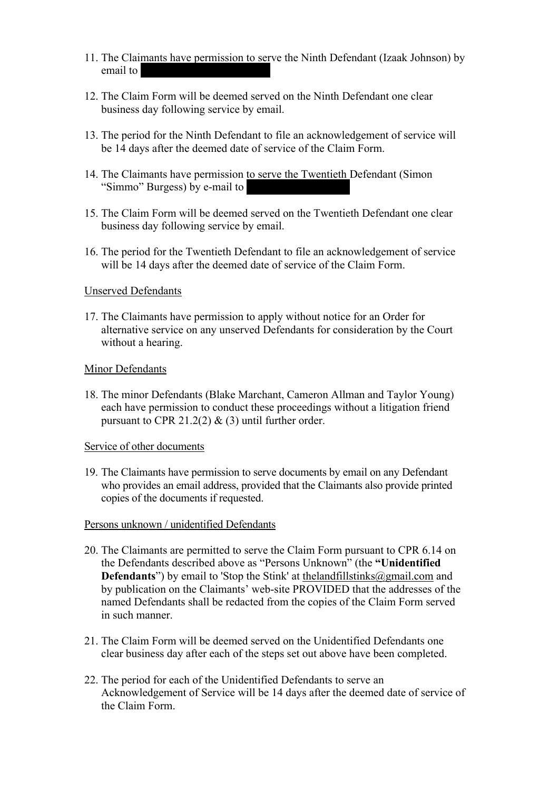- 11. The Claimants have permission to serve the Ninth Defendant (Izaak Johnson) by email to
- 12. The Claim Form will be deemed served on the Ninth Defendant one clear business day following service by email.
- 13. The period for the Ninth Defendant to file an acknowledgement of service will be 14 days after the deemed date of service of the Claim Form.
- 14. The Claimants have permission to serve the Twentieth Defendant (Simon "Simmo" Burgess) by e-mail to
- 15. The Claim Form will be deemed served on the Twentieth Defendant one clear business day following service by email.
- 16. The period for the Twentieth Defendant to file an acknowledgement of service will be 14 days after the deemed date of service of the Claim Form.

#### Unserved Defendants

17. The Claimants have permission to apply without notice for an Order for alternative service on any unserved Defendants for consideration by the Court without a hearing.

#### Minor Defendants

18. The minor Defendants (Blake Marchant, Cameron Allman and Taylor Young) each have permission to conduct these proceedings without a litigation friend pursuant to CPR 21.2(2)  $\&$  (3) until further order.

#### Service of other documents

19. The Claimants have permission to serve documents by email on any Defendant who provides an email address, provided that the Claimants also provide printed copies of the documents if requested.

#### Persons unknown / unidentified Defendants

- 20. The Claimants are permitted to serve the Claim Form pursuant to CPR 6.14 on the Defendants described above as "Persons Unknown" (the **"Unidentified Defendants**") by email to 'Stop the Stink' at the landfillstinks@gmail.com and by publication on the Claimants' web-site PROVIDED that the addresses of the named Defendants shall be redacted from the copies of the Claim Form served in such manner.
- 21. The Claim Form will be deemed served on the Unidentified Defendants one clear business day after each of the steps set out above have been completed.
- 22. The period for each of the Unidentified Defendants to serve an Acknowledgement of Service will be 14 days after the deemed date of service of the Claim Form.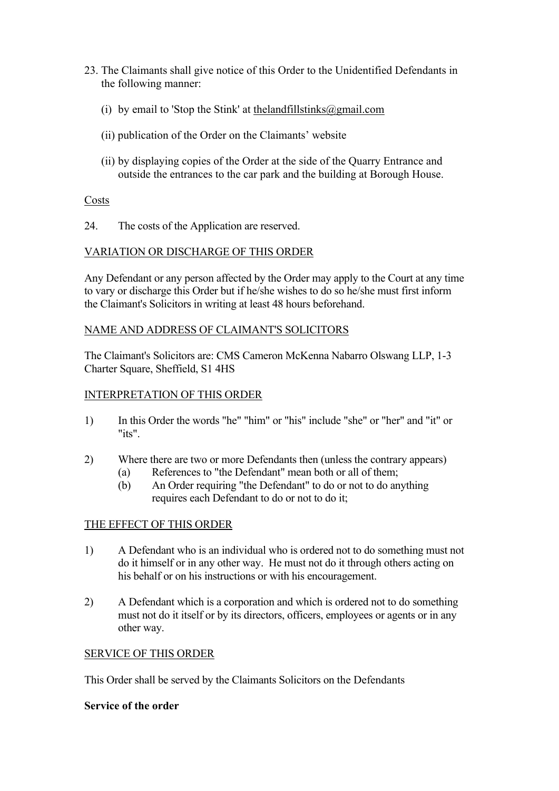- 23. The Claimants shall give notice of this Order to the Unidentified Defendants in the following manner:
	- (i) by email to 'Stop the Stink' at the landfillstinks  $\omega$  gmail.com
	- (ii) publication of the Order on the Claimants' website
	- (ii) by displaying copies of the Order at the side of the Quarry Entrance and outside the entrances to the car park and the building at Borough House.

#### Costs

24. The costs of the Application are reserved.

#### VARIATION OR DISCHARGE OF THIS ORDER

Any Defendant or any person affected by the Order may apply to the Court at any time to vary or discharge this Order but if he/she wishes to do so he/she must first inform the Claimant's Solicitors in writing at least 48 hours beforehand.

#### NAME AND ADDRESS OF CLAIMANT'S SOLICITORS

The Claimant's Solicitors are: CMS Cameron McKenna Nabarro Olswang LLP, 1-3 Charter Square, Sheffield, S1 4HS

#### INTERPRETATION OF THIS ORDER

- 1) In this Order the words "he" "him" or "his" include "she" or "her" and "it" or "its".
- 2) Where there are two or more Defendants then (unless the contrary appears)
	- (a) References to "the Defendant" mean both or all of them;
	- (b) An Order requiring "the Defendant" to do or not to do anything requires each Defendant to do or not to do it;

# THE EFFECT OF THIS ORDER

- 1) A Defendant who is an individual who is ordered not to do something must not do it himself or in any other way. He must not do it through others acting on his behalf or on his instructions or with his encouragement.
- 2) A Defendant which is a corporation and which is ordered not to do something must not do it itself or by its directors, officers, employees or agents or in any other way.

# SERVICE OF THIS ORDER

This Order shall be served by the Claimants Solicitors on the Defendants

#### **Service of the order**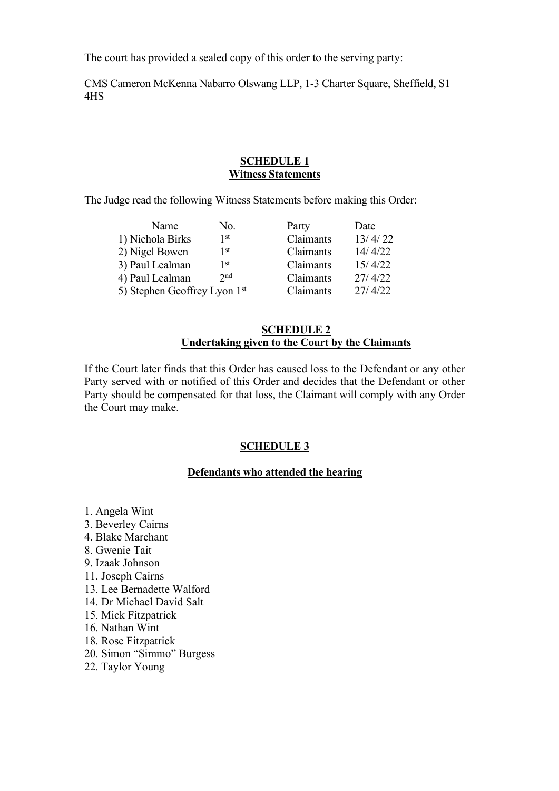The court has provided a sealed copy of this order to the serving party:

CMS Cameron McKenna Nabarro Olswang LLP, 1-3 Charter Square, Sheffield, S1 4HS

### **SCHEDULE 1 Witness Statements**

The Judge read the following Witness Statements before making this Order:

| Name                         | No.             | Party     | Date    |
|------------------------------|-----------------|-----------|---------|
| 1) Nichola Birks             | 1 st            | Claimants | 13/4/22 |
| 2) Nigel Bowen               | 1 <sup>st</sup> | Claimants | 14/4/22 |
| 3) Paul Lealman              | 1 st            | Claimants | 15/4/22 |
| 4) Paul Lealman              | 2nd             | Claimants | 27/4/22 |
| 5) Stephen Geoffrey Lyon 1st |                 | Claimants | 27/4/22 |
|                              |                 |           |         |

## **SCHEDULE 2 Undertaking given to the Court by the Claimants**

If the Court later finds that this Order has caused loss to the Defendant or any other Party served with or notified of this Order and decides that the Defendant or other Party should be compensated for that loss, the Claimant will comply with any Order the Court may make.

# **SCHEDULE 3**

#### **Defendants who attended the hearing**

1. Angela Wint 3. Beverley Cairns 4. Blake Marchant 8. Gwenie Tait 9. Izaak Johnson 11. Joseph Cairns 13. Lee Bernadette Walford 14. Dr Michael David Salt 15. Mick Fitzpatrick 16. Nathan Wint 18. Rose Fitzpatrick 20. Simon "Simmo" Burgess

22. Taylor Young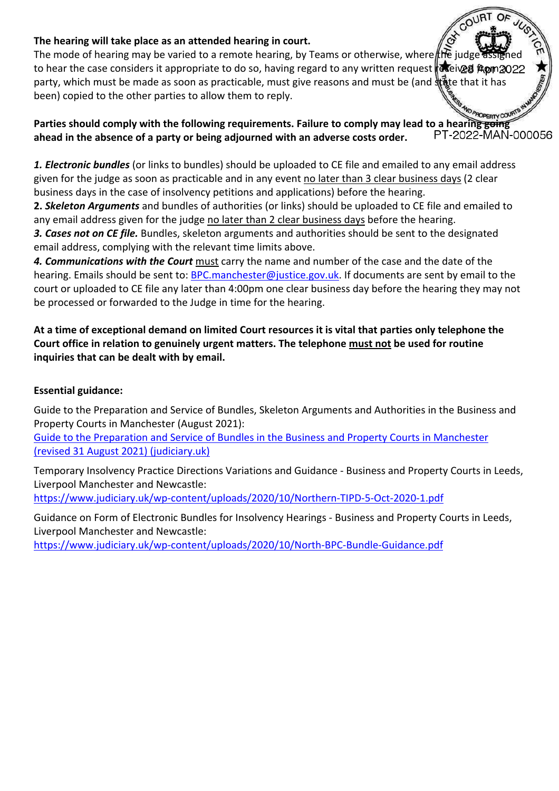# **The hearing will take place as an attended hearing in court.**

The mode of hearing may be varied to a remote hearing, by Teams or otherwise, where the judge to hear the case considers it appropriate to do so, having regard to any written request aceived from 2022 party, which must be made as soon as practicable, must give reasons and must be (and state that it has been) copied to the other parties to allow them to reply.

# **Parties should comply with the following requirements. Failure to comply may lead to a hearing <del>going</del><br>Abead in the absence of a party or being adjourned with an adverse costs order PT-2022-MAN-000056 ahead in the absence of a party or being adjourned with an adverse costs order.**

*1. Electronic bundles* (or links to bundles) should be uploaded to CE file and emailed to any email address given for the judge as soon as practicable and in any event no later than 3 clear business days (2 clear business days in the case of insolvency petitions and applications) before the hearing.

**2.** *Skeleton Arguments* and bundles of authorities (or links) should be uploaded to CE file and emailed to any email address given for the judge no later than 2 clear business days before the hearing.

*3. Cases not on CE file.* Bundles, skeleton arguments and authorities should be sent to the designated email address, complying with the relevant time limits above.

*4. Communications with the Court* must carry the name and number of the case and the date of the hearing. Emails should be sent to: [BPC.manchester@justice.gov.uk.](mailto:BPC.manchester@justice.gov.uk) If documents are sent by email to the court or uploaded to CE file any later than 4:00pm one clear business day before the hearing they may not be processed or forwarded to the Judge in time for the hearing.

# **At a time of exceptional demand on limited Court resources it is vital that parties only telephone the Court office in relation to genuinely urgent matters. The telephone must not be used for routine inquiries that can be dealt with by email.**

# **Essential guidance:**

Guide to the Preparation and Service of Bundles, Skeleton Arguments and Authorities in the Business and Property Courts in Manchester (August 2021):

[Guide to the Preparation and Service of Bundles in the Business and Property Courts in Manchester](https://www.judiciary.uk/wp-content/uploads/2021/09/Revised-Manchester-BPCs-Guide-to-Preparation-of-Bundles-etc-31-August-2021.pdf)  [\(revised 31 August 2021\) \(judiciary.uk\)](https://www.judiciary.uk/wp-content/uploads/2021/09/Revised-Manchester-BPCs-Guide-to-Preparation-of-Bundles-etc-31-August-2021.pdf)

Temporary Insolvency Practice Directions Variations and Guidance - Business and Property Courts in Leeds, Liverpool Manchester and Newcastle: <https://www.judiciary.uk/wp-content/uploads/2020/10/Northern-TIPD-5-Oct-2020-1.pdf>

Guidance on Form of Electronic Bundles for Insolvency Hearings - Business and Property Courts in Leeds,

Liverpool Manchester and Newcastle:

<https://www.judiciary.uk/wp-content/uploads/2020/10/North-BPC-Bundle-Guidance.pdf>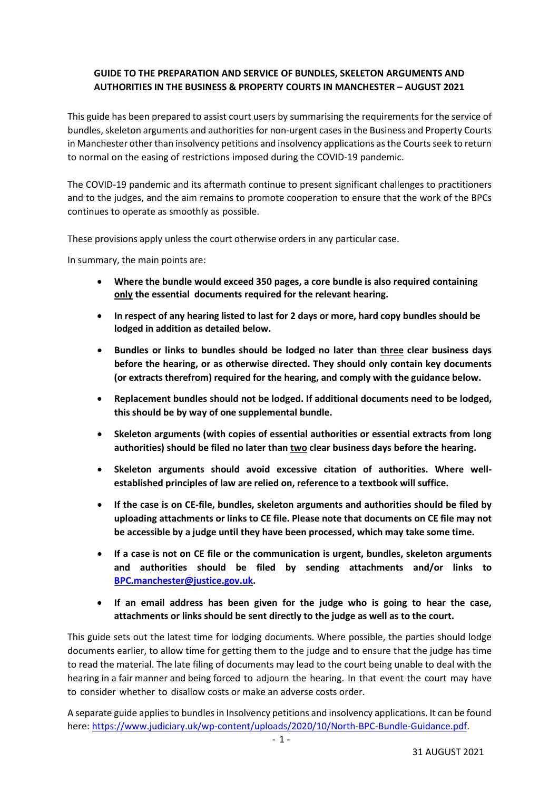### **GUIDE TO THE PREPARATION AND SERVICE OF BUNDLES, SKELETON ARGUMENTS AND AUTHORITIES IN THE BUSINESS & PROPERTY COURTS IN MANCHESTER – AUGUST 2021**

This guide has been prepared to assist court users by summarising the requirements for the service of bundles, skeleton arguments and authorities for non-urgent cases in the Business and Property Courts in Manchester other than insolvency petitions and insolvency applications as the Courts seek to return to normal on the easing of restrictions imposed during the COVID-19 pandemic.

The COVID-19 pandemic and its aftermath continue to present significant challenges to practitioners and to the judges, and the aim remains to promote cooperation to ensure that the work of the BPCs continues to operate as smoothly as possible.

These provisions apply unless the court otherwise orders in any particular case.

In summary, the main points are:

- **Where the bundle would exceed 350 pages, a core bundle is also required containing only the essential documents required for the relevant hearing.**
- **In respect of any hearing listed to last for 2 days or more, hard copy bundles should be lodged in addition as detailed below.**
- **Bundles or links to bundles should be lodged no later than three clear business days before the hearing, or as otherwise directed. They should only contain key documents (or extracts therefrom) required for the hearing, and comply with the guidance below.**
- **Replacement bundles should not be lodged. If additional documents need to be lodged, this should be by way of one supplemental bundle.**
- **Skeleton arguments (with copies of essential authorities or essential extracts from long authorities) should be filed no later than two clear business days before the hearing.**
- **Skeleton arguments should avoid excessive citation of authorities. Where wellestablished principles of law are relied on, reference to a textbook will suffice.**
- **If the case is on CE-file, bundles, skeleton arguments and authorities should be filed by uploading attachments or links to CE file. Please note that documents on CE file may not be accessible by a judge until they have been processed, which may take some time.**
- **If a case is not on CE file or the communication is urgent, bundles, skeleton arguments and authorities should be filed by sending attachments and/or links to [BPC.manchester@justice.gov.uk.](mailto:BPC.manchester@justice.gov.uk)**
- **If an email address has been given for the judge who is going to hear the case, attachments or links should be sent directly to the judge as well as to the court.**

This guide sets out the latest time for lodging documents. Where possible, the parties should lodge documents earlier, to allow time for getting them to the judge and to ensure that the judge has time to read the material. The late filing of documents may lead to the court being unable to deal with the hearing in a fair manner and being forced to adjourn the hearing. In that event the court may have to consider whether to disallow costs or make an adverse costs order.

A separate guide applies to bundles in Insolvency petitions and insolvency applications. It can be found here: [https://www.judiciary.uk/wp-content/uploads/2020/10/North-BPC-Bundle-Guidance.pdf.](https://www.judiciary.uk/wp-content/uploads/2020/10/North-BPC-Bundle-Guidance.pdf)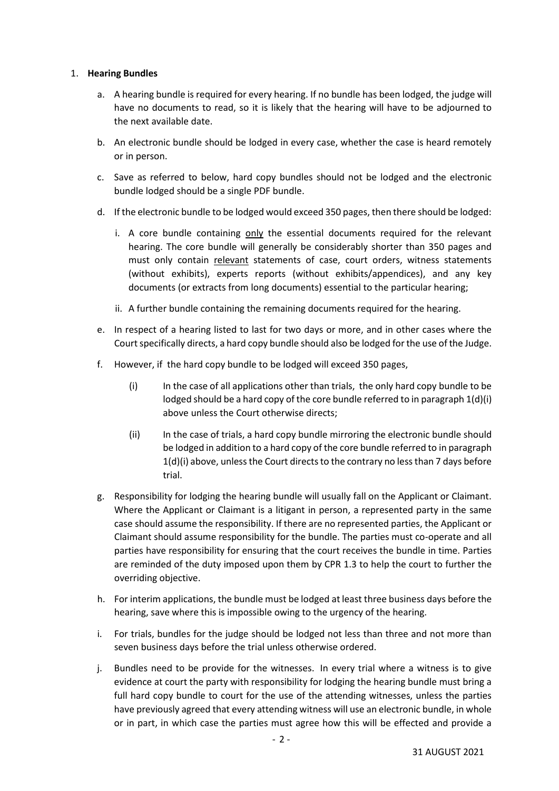#### 1. **Hearing Bundles**

- a. A hearing bundle is required for every hearing. If no bundle has been lodged, the judge will have no documents to read, so it is likely that the hearing will have to be adjourned to the next available date.
- b. An electronic bundle should be lodged in every case, whether the case is heard remotely or in person.
- c. Save as referred to below, hard copy bundles should not be lodged and the electronic bundle lodged should be a single PDF bundle.
- d. If the electronic bundle to be lodged would exceed 350 pages, then there should be lodged:
	- i. A core bundle containing only the essential documents required for the relevant hearing. The core bundle will generally be considerably shorter than 350 pages and must only contain relevant statements of case, court orders, witness statements (without exhibits), experts reports (without exhibits/appendices), and any key documents (or extracts from long documents) essential to the particular hearing;
	- ii. A further bundle containing the remaining documents required for the hearing.
- e. In respect of a hearing listed to last for two days or more, and in other cases where the Court specifically directs, a hard copy bundle should also be lodged for the use of the Judge.
- f. However, if the hard copy bundle to be lodged will exceed 350 pages,
	- (i) In the case of all applications other than trials, the only hard copy bundle to be lodged should be a hard copy of the core bundle referred to in paragraph 1(d)(i) above unless the Court otherwise directs;
	- (ii) In the case of trials, a hard copy bundle mirroring the electronic bundle should be lodged in addition to a hard copy of the core bundle referred to in paragraph 1(d)(i) above, unless the Court directs to the contrary no less than 7 days before trial.
- g. Responsibility for lodging the hearing bundle will usually fall on the Applicant or Claimant. Where the Applicant or Claimant is a litigant in person, a represented party in the same case should assume the responsibility. If there are no represented parties, the Applicant or Claimant should assume responsibility for the bundle. The parties must co-operate and all parties have responsibility for ensuring that the court receives the bundle in time. Parties are reminded of the duty imposed upon them by CPR 1.3 to help the court to further the overriding objective.
- h. For interim applications, the bundle must be lodged at least three business days before the hearing, save where this is impossible owing to the urgency of the hearing.
- i. For trials, bundles for the judge should be lodged not less than three and not more than seven business days before the trial unless otherwise ordered.
- j. Bundles need to be provide for the witnesses. In every trial where a witness is to give evidence at court the party with responsibility for lodging the hearing bundle must bring a full hard copy bundle to court for the use of the attending witnesses, unless the parties have previously agreed that every attending witness will use an electronic bundle, in whole or in part, in which case the parties must agree how this will be effected and provide a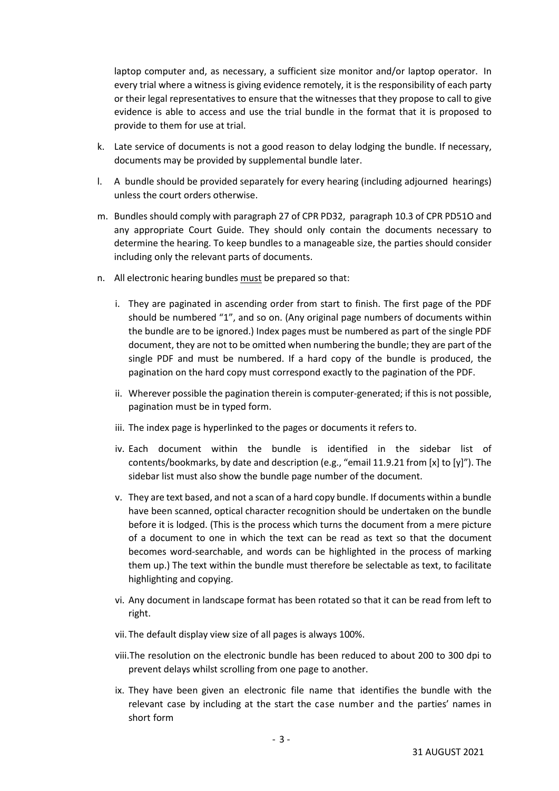laptop computer and, as necessary, a sufficient size monitor and/or laptop operator. In every trial where a witness is giving evidence remotely, it is the responsibility of each party or their legal representatives to ensure that the witnesses that they propose to call to give evidence is able to access and use the trial bundle in the format that it is proposed to provide to them for use at trial.

- k. Late service of documents is not a good reason to delay lodging the bundle. If necessary, documents may be provided by supplemental bundle later.
- l. A bundle should be provided separately for every hearing (including adjourned hearings) unless the court orders otherwise.
- m. Bundles should comply with paragraph 27 of CPR PD32, paragraph 10.3 of CPR PD51O and any appropriate Court Guide. They should only contain the documents necessary to determine the hearing. To keep bundles to a manageable size, the parties should consider including only the relevant parts of documents.
- n. All electronic hearing bundles must be prepared so that:
	- i. They are paginated in ascending order from start to finish. The first page of the PDF should be numbered "1", and so on. (Any original page numbers of documents within the bundle are to be ignored.) Index pages must be numbered as part of the single PDF document, they are not to be omitted when numbering the bundle; they are part of the single PDF and must be numbered. If a hard copy of the bundle is produced, the pagination on the hard copy must correspond exactly to the pagination of the PDF.
	- ii. Wherever possible the pagination therein is computer-generated; if this is not possible, pagination must be in typed form.
	- iii. The index page is hyperlinked to the pages or documents it refers to.
	- iv. Each document within the bundle is identified in the sidebar list of contents/bookmarks, by date and description (e.g., "email 11.9.21 from [x] to [y]"). The sidebar list must also show the bundle page number of the document.
	- v. They are text based, and not a scan of a hard copy bundle. If documents within a bundle have been scanned, optical character recognition should be undertaken on the bundle before it is lodged. (This is the process which turns the document from a mere picture of a document to one in which the text can be read as text so that the document becomes word-searchable, and words can be highlighted in the process of marking them up.) The text within the bundle must therefore be selectable as text, to facilitate highlighting and copying.
	- vi. Any document in landscape format has been rotated so that it can be read from left to right.
	- vii. The default display view size of all pages is always 100%.
	- viii.The resolution on the electronic bundle has been reduced to about 200 to 300 dpi to prevent delays whilst scrolling from one page to another.
	- ix. They have been given an electronic file name that identifies the bundle with the relevant case by including at the start the case number and the parties' names in short form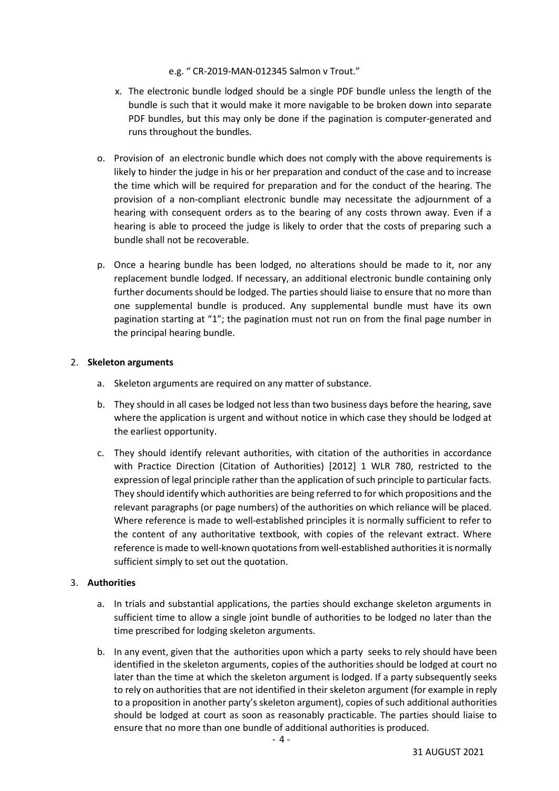#### e.g. " CR-2019-MAN-012345 Salmon v Trout."

- x. The electronic bundle lodged should be a single PDF bundle unless the length of the bundle is such that it would make it more navigable to be broken down into separate PDF bundles, but this may only be done if the pagination is computer-generated and runs throughout the bundles.
- o. Provision of an electronic bundle which does not comply with the above requirements is likely to hinder the judge in his or her preparation and conduct of the case and to increase the time which will be required for preparation and for the conduct of the hearing. The provision of a non-compliant electronic bundle may necessitate the adjournment of a hearing with consequent orders as to the bearing of any costs thrown away. Even if a hearing is able to proceed the judge is likely to order that the costs of preparing such a bundle shall not be recoverable.
- p. Once a hearing bundle has been lodged, no alterations should be made to it, nor any replacement bundle lodged. If necessary, an additional electronic bundle containing only further documents should be lodged. The parties should liaise to ensure that no more than one supplemental bundle is produced. Any supplemental bundle must have its own pagination starting at "1"; the pagination must not run on from the final page number in the principal hearing bundle.

#### 2. **Skeleton arguments**

- a. Skeleton arguments are required on any matter of substance.
- b. They should in all cases be lodged not less than two business days before the hearing, save where the application is urgent and without notice in which case they should be lodged at the earliest opportunity.
- c. They should identify relevant authorities, with citation of the authorities in accordance with Practice Direction (Citation of Authorities) [2012] 1 WLR 780, restricted to the expression of legal principle rather than the application of such principle to particular facts. They should identify which authorities are being referred to for which propositions and the relevant paragraphs (or page numbers) of the authorities on which reliance will be placed. Where reference is made to well-established principles it is normally sufficient to refer to the content of any authoritative textbook, with copies of the relevant extract. Where reference is made to well-known quotations from well-established authorities it is normally sufficient simply to set out the quotation.

#### 3. **Authorities**

- a. In trials and substantial applications, the parties should exchange skeleton arguments in sufficient time to allow a single joint bundle of authorities to be lodged no later than the time prescribed for lodging skeleton arguments.
- b. In any event, given that the authorities upon which a party seeks to rely should have been identified in the skeleton arguments, copies of the authorities should be lodged at court no later than the time at which the skeleton argument is lodged. If a party subsequently seeks to rely on authorities that are not identified in their skeleton argument (for example in reply to a proposition in another party's skeleton argument), copies of such additional authorities should be lodged at court as soon as reasonably practicable. The parties should liaise to ensure that no more than one bundle of additional authorities is produced.